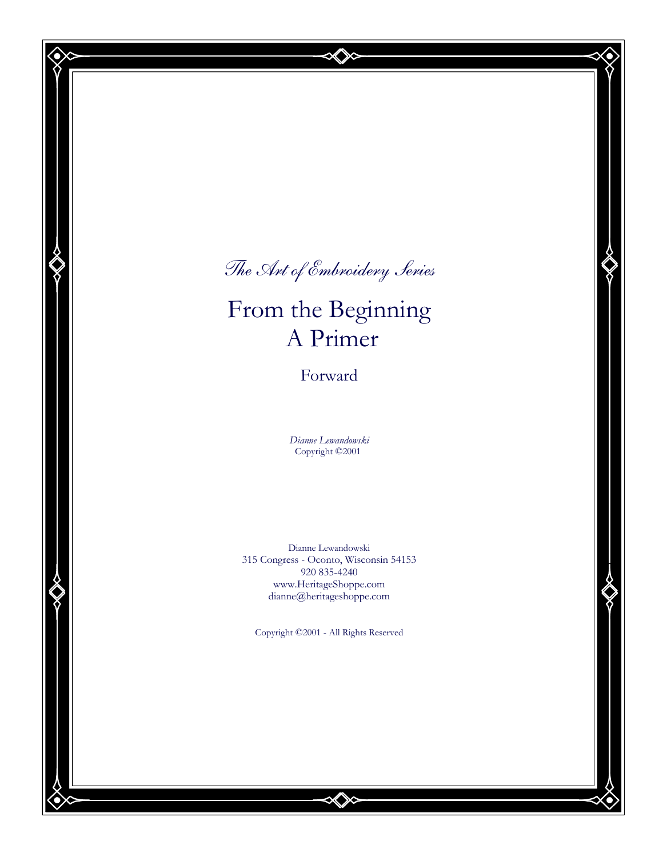The Art of Embroidery Series

# From the Beginning A Primer

Forward

Dianne Lewandowski Copyright ©2001

Dianne Lewandowski 315 Congress - Oconto, Wisconsin 54153 920 835-4240 www.HeritageShoppe.com dianne@heritageshoppe.com

Copyright ©2001 - All Rights Reserved

 $\infty$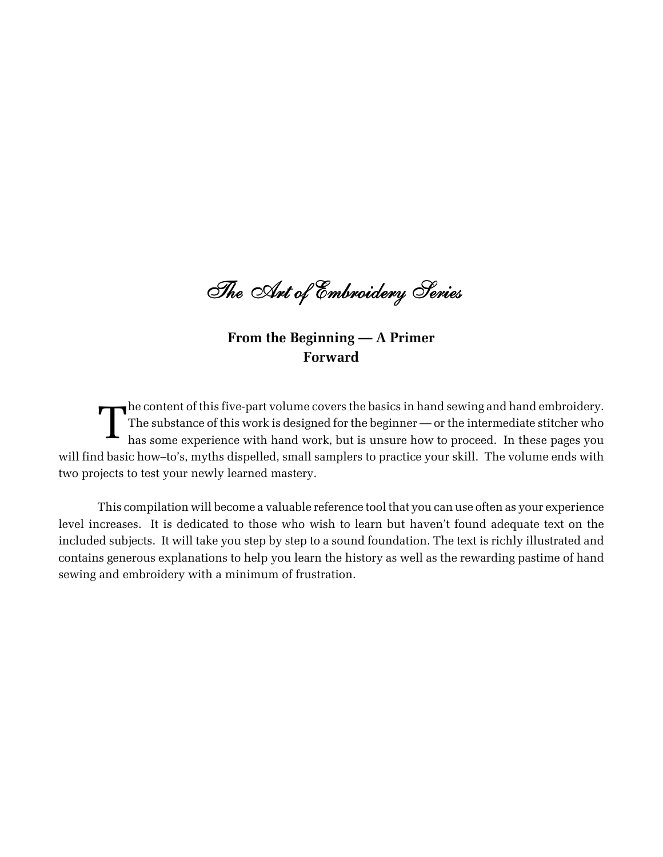The Art of Embroidery Series

## From the Beginning — A Primer Forward

The content of this five-part volume covers the basics in hand sewing and hand embroidery.<br>The substance of this work is designed for the beginner — or the intermediate stitcher who has some experience with hand work, but The substance of this work is designed for the beginner — or the intermediate stitcher who has some experience with hand work, but is unsure how to proceed. In these pages you will find basic how–to's, myths dispelled, small samplers to practice your skill. The volume ends with two projects to test your newly learned mastery.

This compilation will become a valuable reference tool that you can use often as your experience level increases. It is dedicated to those who wish to learn but haven't found adequate text on the included subjects. It will take you step by step to a sound foundation. The text is richly illustrated and contains generous explanations to help you learn the history as well as the rewarding pastime of hand sewing and embroidery with a minimum of frustration.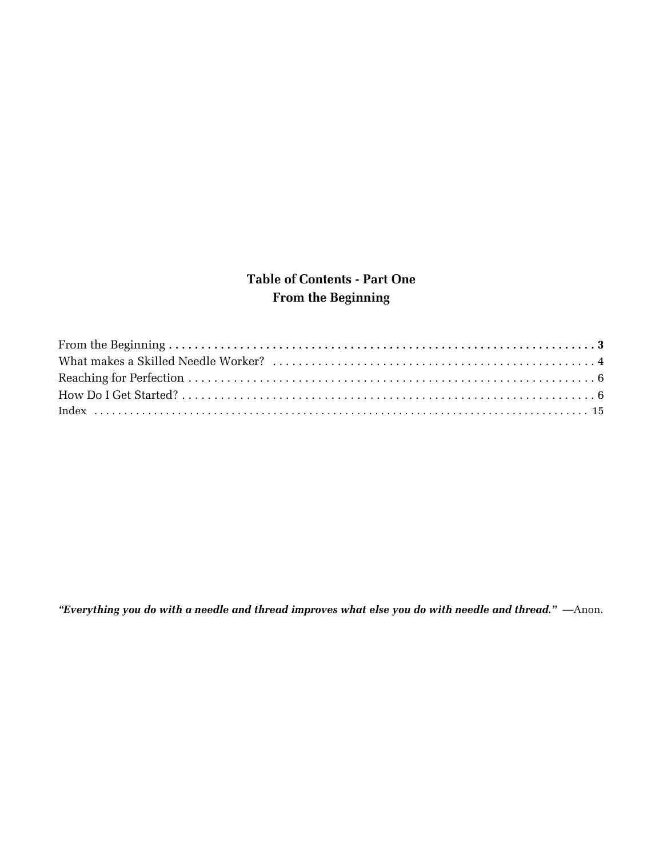# Table of Contents - Part One From the Beginning

"Everything you do with a needle and thread improves what else you do with needle and thread." —Anon.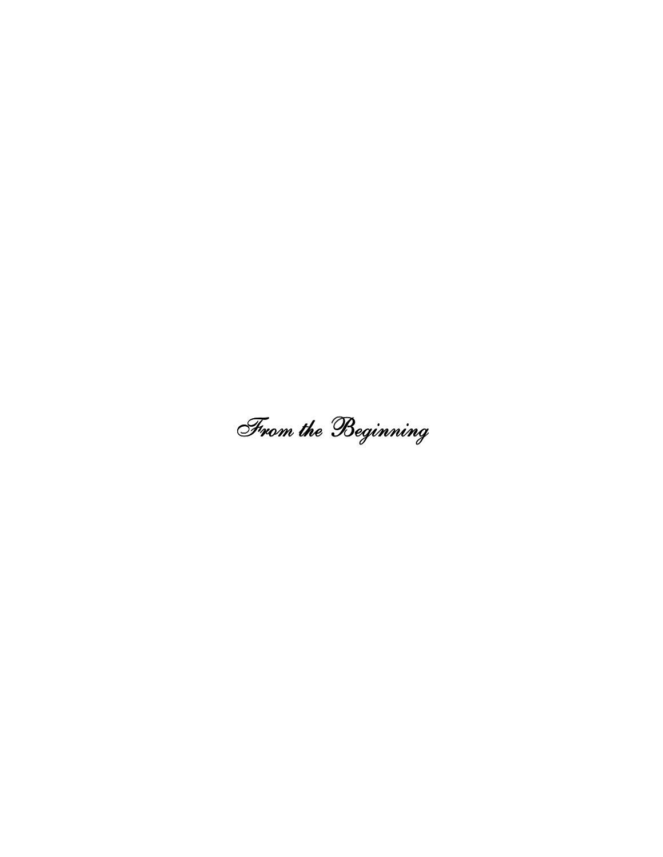From the Beginning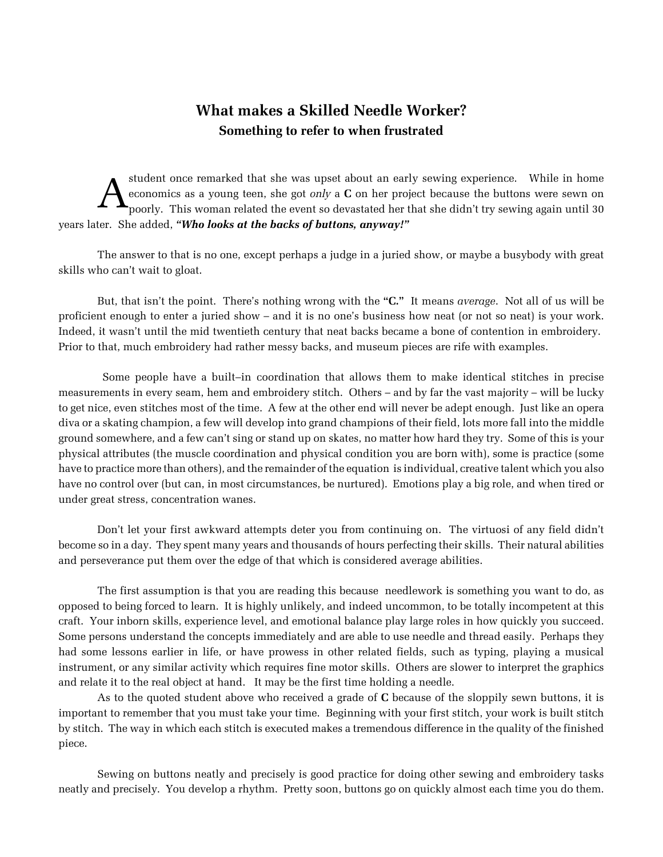# What makes a Skilled Needle Worker? Something to refer to when frustrated

A student once remarked that she was upset about an early sewing experience. While in home economics as a young teen, she got only a  $C$  on her project because the buttons were sewn on poorly. This woman related the event so devastated her that she didn't try sewing again until 30 years later. She added, "Who looks at the backs of buttons, anyway!"

The answer to that is no one, except perhaps a judge in a juried show, or maybe a busybody with great skills who can't wait to gloat.

But, that isn't the point. There's nothing wrong with the "C." It means *average*. Not all of us will be proficient enough to enter a juried show – and it is no one's business how neat (or not so neat) is your work. Indeed, it wasn't until the mid twentieth century that neat backs became a bone of contention in embroidery. Prior to that, much embroidery had rather messy backs, and museum pieces are rife with examples.

 Some people have a built–in coordination that allows them to make identical stitches in precise measurements in every seam, hem and embroidery stitch. Others – and by far the vast majority – will be lucky to get nice, even stitches most of the time. A few at the other end will never be adept enough. Just like an opera diva or a skating champion, a few will develop into grand champions of their field, lots more fall into the middle ground somewhere, and a few can't sing or stand up on skates, no matter how hard they try. Some of this is your physical attributes (the muscle coordination and physical condition you are born with), some is practice (some have to practice more than others), and the remainder of the equation is individual, creative talent which you also have no control over (but can, in most circumstances, be nurtured). Emotions play a big role, and when tired or under great stress, concentration wanes.

Don't let your first awkward attempts deter you from continuing on. The virtuosi of any field didn't become so in a day. They spent many years and thousands of hours perfecting their skills. Their natural abilities and perseverance put them over the edge of that which is considered average abilities.

The first assumption is that you are reading this because needlework is something you want to do, as opposed to being forced to learn. It is highly unlikely, and indeed uncommon, to be totally incompetent at this craft. Your inborn skills, experience level, and emotional balance play large roles in how quickly you succeed. Some persons understand the concepts immediately and are able to use needle and thread easily. Perhaps they had some lessons earlier in life, or have prowess in other related fields, such as typing, playing a musical instrument, or any similar activity which requires fine motor skills. Others are slower to interpret the graphics and relate it to the real object at hand. It may be the first time holding a needle.

As to the quoted student above who received a grade of  $C$  because of the sloppily sewn buttons, it is important to remember that you must take your time. Beginning with your first stitch, your work is built stitch by stitch. The way in which each stitch is executed makes a tremendous difference in the quality of the finished piece.

Sewing on buttons neatly and precisely is good practice for doing other sewing and embroidery tasks neatly and precisely. You develop a rhythm. Pretty soon, buttons go on quickly almost each time you do them.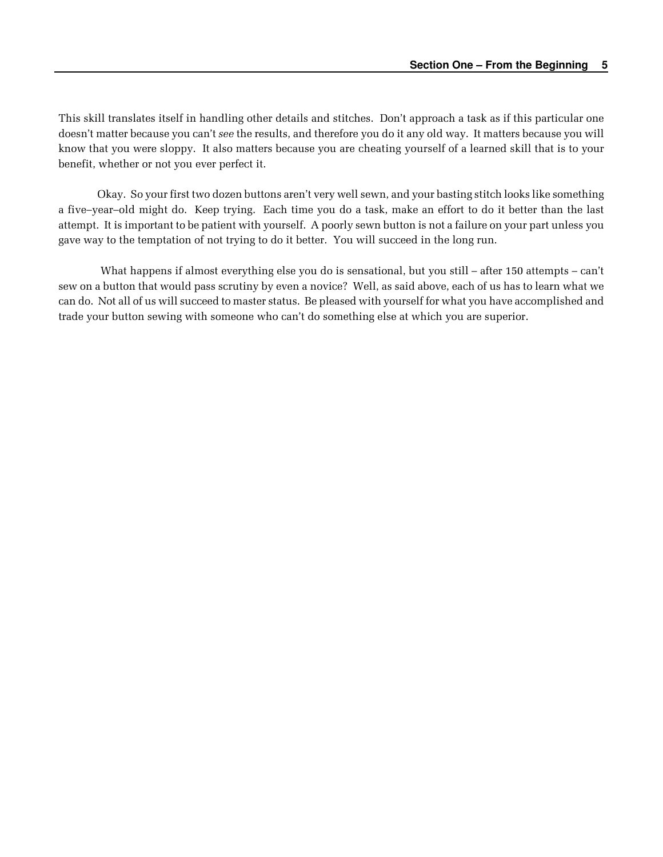This skill translates itself in handling other details and stitches. Don't approach a task as if this particular one doesn't matter because you can't see the results, and therefore you do it any old way. It matters because you will know that you were sloppy. It also matters because you are cheating yourself of a learned skill that is to your benefit, whether or not you ever perfect it.

Okay. So your first two dozen buttons aren't very well sewn, and your basting stitch looks like something a five–year–old might do. Keep trying. Each time you do a task, make an effort to do it better than the last attempt. It is important to be patient with yourself. A poorly sewn button is not a failure on your part unless you gave way to the temptation of not trying to do it better. You will succeed in the long run.

 What happens if almost everything else you do is sensational, but you still – after 150 attempts – can't sew on a button that would pass scrutiny by even a novice? Well, as said above, each of us has to learn what we can do. Not all of us will succeed to master status. Be pleased with yourself for what you have accomplished and trade your button sewing with someone who can't do something else at which you are superior.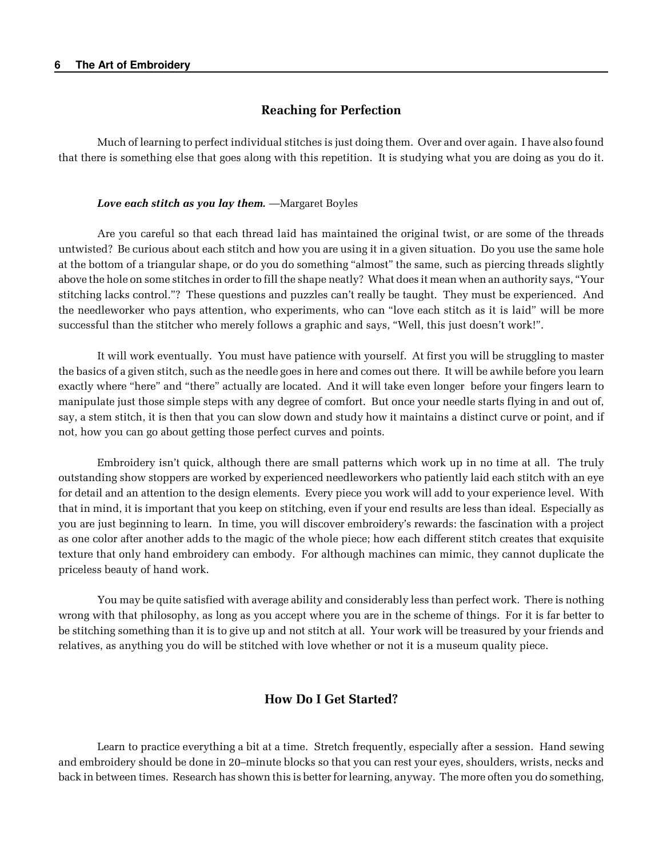## Reaching for Perfection

Much of learning to perfect individual stitches is just doing them. Over and over again. I have also found that there is something else that goes along with this repetition. It is studying what you are doing as you do it.

#### Love each stitch as you lay them. —Margaret Boyles

Are you careful so that each thread laid has maintained the original twist, or are some of the threads untwisted? Be curious about each stitch and how you are using it in a given situation. Do you use the same hole at the bottom of a triangular shape, or do you do something "almost" the same, such as piercing threads slightly above the hole on some stitches in order to fill the shape neatly? What does it mean when an authority says, "Your stitching lacks control."? These questions and puzzles can't really be taught. They must be experienced. And the needleworker who pays attention, who experiments, who can "love each stitch as it is laid" will be more successful than the stitcher who merely follows a graphic and says, "Well, this just doesn't work!".

It will work eventually. You must have patience with yourself. At first you will be struggling to master the basics of a given stitch, such as the needle goes in here and comes out there. It will be awhile before you learn exactly where "here" and "there" actually are located. And it will take even longer before your fingers learn to manipulate just those simple steps with any degree of comfort. But once your needle starts flying in and out of, say, a stem stitch, it is then that you can slow down and study how it maintains a distinct curve or point, and if not, how you can go about getting those perfect curves and points.

Embroidery isn't quick, although there are small patterns which work up in no time at all. The truly outstanding show stoppers are worked by experienced needleworkers who patiently laid each stitch with an eye for detail and an attention to the design elements. Every piece you work will add to your experience level. With that in mind, it is important that you keep on stitching, even if your end results are less than ideal. Especially as you are just beginning to learn. In time, you will discover embroidery's rewards: the fascination with a project as one color after another adds to the magic of the whole piece; how each different stitch creates that exquisite texture that only hand embroidery can embody. For although machines can mimic, they cannot duplicate the priceless beauty of hand work.

You may be quite satisfied with average ability and considerably less than perfect work. There is nothing wrong with that philosophy, as long as you accept where you are in the scheme of things. For it is far better to be stitching something than it is to give up and not stitch at all. Your work will be treasured by your friends and relatives, as anything you do will be stitched with love whether or not it is a museum quality piece.

## How Do I Get Started?

Learn to practice everything a bit at a time. Stretch frequently, especially after a session. Hand sewing and embroidery should be done in 20–minute blocks so that you can rest your eyes, shoulders, wrists, necks and back in between times. Research has shown this is better for learning, anyway. The more often you do something,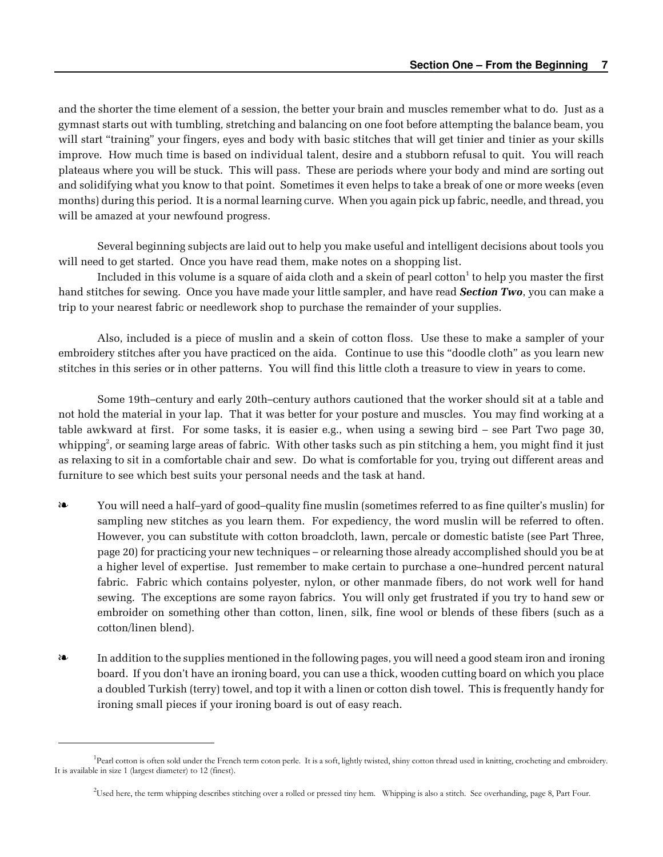and the shorter the time element of a session, the better your brain and muscles remember what to do. Just as a gymnast starts out with tumbling, stretching and balancing on one foot before attempting the balance beam, you will start "training" your fingers, eyes and body with basic stitches that will get tinier and tinier as your skills improve. How much time is based on individual talent, desire and a stubborn refusal to quit. You will reach plateaus where you will be stuck. This will pass. These are periods where your body and mind are sorting out and solidifying what you know to that point. Sometimes it even helps to take a break of one or more weeks (even months) during this period. It is a normal learning curve. When you again pick up fabric, needle, and thread, you will be amazed at your newfound progress.

Several beginning subjects are laid out to help you make useful and intelligent decisions about tools you will need to get started. Once you have read them, make notes on a shopping list.

Included in this volume is a square of aida cloth and a skein of pearl cotton $^1$  to help you master the first hand stitches for sewing. Once you have made your little sampler, and have read **Section Two**, you can make a trip to your nearest fabric or needlework shop to purchase the remainder of your supplies.

Also, included is a piece of muslin and a skein of cotton floss. Use these to make a sampler of your embroidery stitches after you have practiced on the aida. Continue to use this "doodle cloth" as you learn new stitches in this series or in other patterns. You will find this little cloth a treasure to view in years to come.

Some 19th–century and early 20th–century authors cautioned that the worker should sit at a table and not hold the material in your lap. That it was better for your posture and muscles. You may find working at a table awkward at first. For some tasks, it is easier e.g., when using a sewing bird – see Part Two page 30, whipping $^2$ , or seaming large areas of fabric. With other tasks such as pin stitching a hem, you might find it just as relaxing to sit in a comfortable chair and sew. Do what is comfortable for you, trying out different areas and furniture to see which best suits your personal needs and the task at hand.

- É You will need a half–yard of good–quality fine muslin (sometimes referred to as fine quilter's muslin) for sampling new stitches as you learn them. For expediency, the word muslin will be referred to often. However, you can substitute with cotton broadcloth, lawn, percale or domestic batiste (see Part Three, page 20) for practicing your new techniques – or relearning those already accomplished should you be at a higher level of expertise. Just remember to make certain to purchase a one–hundred percent natural fabric. Fabric which contains polyester, nylon, or other manmade fibers, do not work well for hand sewing. The exceptions are some rayon fabrics. You will only get frustrated if you try to hand sew or embroider on something other than cotton, linen, silk, fine wool or blends of these fibers (such as a cotton/linen blend).
- $\bullet$  In addition to the supplies mentioned in the following pages, you will need a good steam iron and ironing board. If you don't have an ironing board, you can use a thick, wooden cutting board on which you place a doubled Turkish (terry) towel, and top it with a linen or cotton dish towel. This is frequently handy for ironing small pieces if your ironing board is out of easy reach.

<sup>&</sup>lt;sup>1</sup>Pearl cotton is often sold under the French term coton perle. It is a soft, lightly twisted, shiny cotton thread used in knitting, crocheting and embroidery. It is available in size 1 (largest diameter) to 12 (finest).

<sup>2</sup>Used here, the term whipping describes stitching over a rolled or pressed tiny hem. Whipping is also a stitch. See overhanding, page 8, Part Four.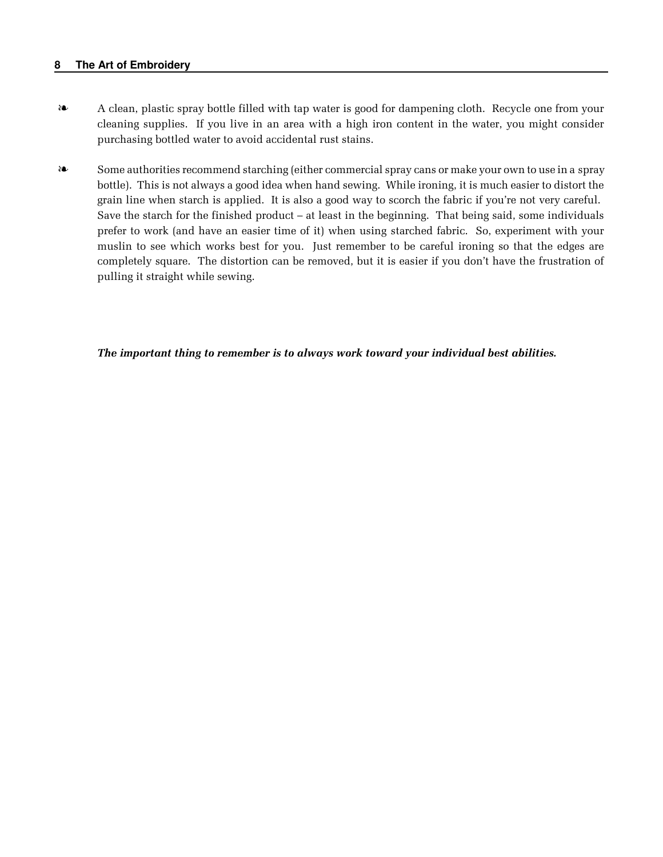### **8 The Art of Embroidery**

- $\bullet$  A clean, plastic spray bottle filled with tap water is good for dampening cloth. Recycle one from your cleaning supplies. If you live in an area with a high iron content in the water, you might consider purchasing bottled water to avoid accidental rust stains.
- EXACTE: Some authorities recommend starching (either commercial spray cans or make your own to use in a spray bottle). This is not always a good idea when hand sewing. While ironing, it is much easier to distort the grain line when starch is applied. It is also a good way to scorch the fabric if you're not very careful. Save the starch for the finished product – at least in the beginning. That being said, some individuals prefer to work (and have an easier time of it) when using starched fabric. So, experiment with your muslin to see which works best for you. Just remember to be careful ironing so that the edges are completely square. The distortion can be removed, but it is easier if you don't have the frustration of pulling it straight while sewing.

### The important thing to remember is to always work toward your individual best abilities.